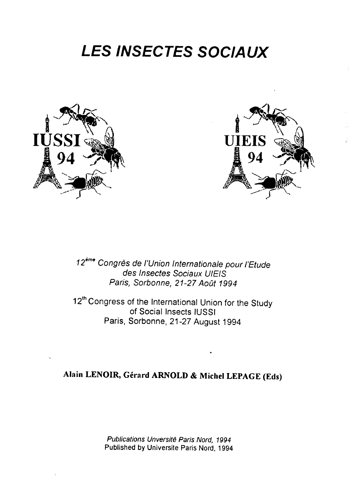## **LES INSECTES SOC/AUX**





12<sup>ème</sup> Congrès de l'Union Internationale pour l'Etude des lnsectes Sociaux UIEIS Paris, Sorbonne, 21-27 Août 1994

12<sup>th</sup> Congress of the International Union for the Study of Social Insects IUSSI Paris, Sorbonne, 21-27 August 1994

## **Alain LENOIR, Gerard ARNOLD & Michel LEPAGE (Eds)**

Publications Unversite Paris Nord, 1994 Published by Universite Paris Nord, 1994